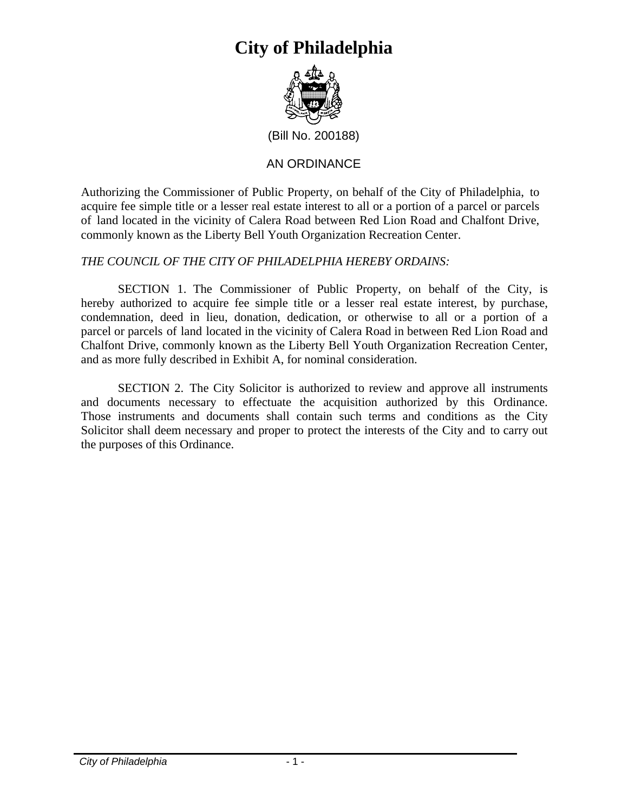

(Bill No. 200188)

### AN ORDINANCE

Authorizing the Commissioner of Public Property, on behalf of the City of Philadelphia, to acquire fee simple title or a lesser real estate interest to all or a portion of a parcel or parcels of land located in the vicinity of Calera Road between Red Lion Road and Chalfont Drive, commonly known as the Liberty Bell Youth Organization Recreation Center.

#### *THE COUNCIL OF THE CITY OF PHILADELPHIA HEREBY ORDAINS:*

SECTION 1. The Commissioner of Public Property, on behalf of the City, is hereby authorized to acquire fee simple title or a lesser real estate interest, by purchase, condemnation, deed in lieu, donation, dedication, or otherwise to all or a portion of a parcel or parcels of land located in the vicinity of Calera Road in between Red Lion Road and Chalfont Drive, commonly known as the Liberty Bell Youth Organization Recreation Center, and as more fully described in Exhibit A, for nominal consideration.

SECTION 2. The City Solicitor is authorized to review and approve all instruments and documents necessary to effectuate the acquisition authorized by this Ordinance. Those instruments and documents shall contain such terms and conditions as the City Solicitor shall deem necessary and proper to protect the interests of the City and to carry out the purposes of this Ordinance.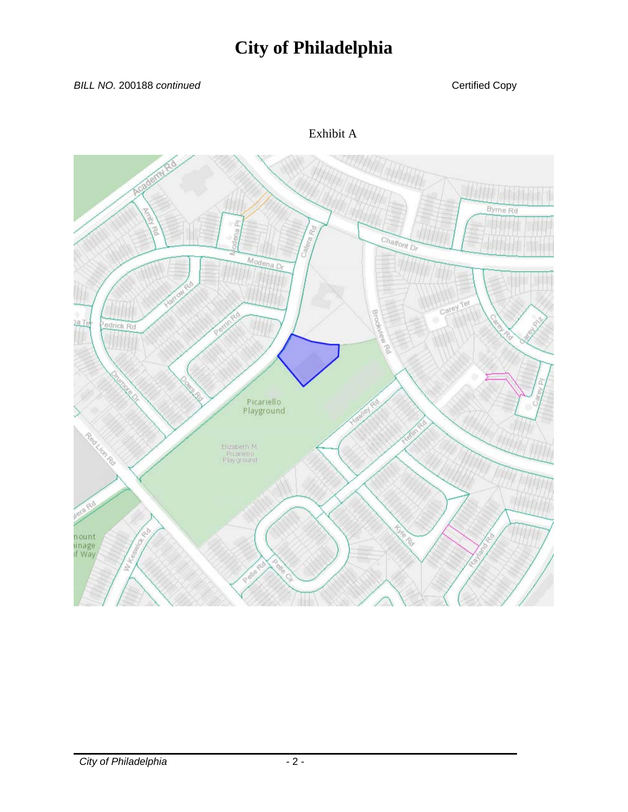#### **BILL NO. 200188 continued** Copy



Exhibit A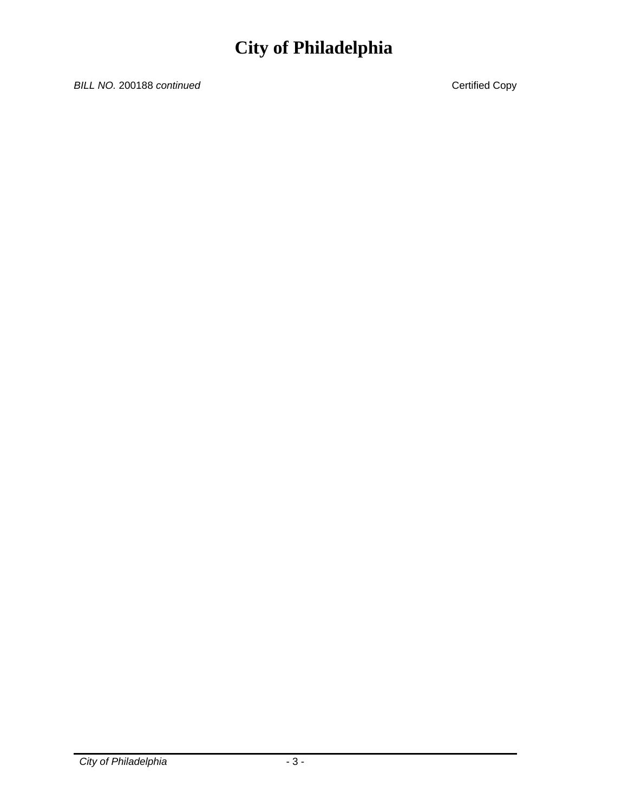**BILL NO. 200188 continued** Copy